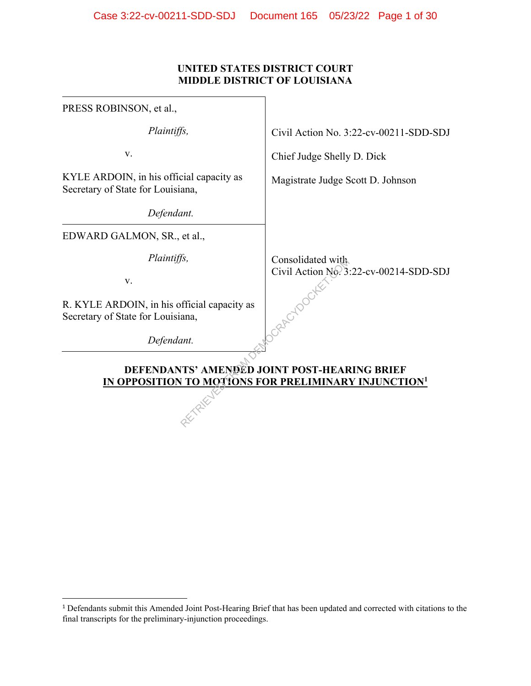## **UNITED STATES DISTRICT COURT MIDDLE DISTRICT OF LOUISIANA**

| PRESS ROBINSON, et al.,                                                                                          |                                                             |  |  |  |
|------------------------------------------------------------------------------------------------------------------|-------------------------------------------------------------|--|--|--|
| Plaintiffs,                                                                                                      | Civil Action No. 3:22-cv-00211-SDD-SDJ                      |  |  |  |
| V.                                                                                                               | Chief Judge Shelly D. Dick                                  |  |  |  |
| KYLE ARDOIN, in his official capacity as<br>Secretary of State for Louisiana,                                    | Magistrate Judge Scott D. Johnson                           |  |  |  |
| Defendant.                                                                                                       |                                                             |  |  |  |
| EDWARD GALMON, SR., et al.,                                                                                      |                                                             |  |  |  |
| Plaintiffs,<br>V.                                                                                                | Consolidated with<br>Civil Action No. 3:22-cv-00214-SDD-SDJ |  |  |  |
| R. KYLE ARDOIN, in his official capacity as<br>Secretary of State for Louisiana,                                 |                                                             |  |  |  |
| Defendant.                                                                                                       |                                                             |  |  |  |
| DEFENDANTS' AMENDED JOINT POST-HEARING BRIEF<br>IN OPPOSITION TO MOTIONS FOR PRELIMINARY INJUNCTION <sup>1</sup> |                                                             |  |  |  |
|                                                                                                                  |                                                             |  |  |  |

<sup>1</sup> Defendants submit this Amended Joint Post-Hearing Brief that has been updated and corrected with citations to the final transcripts for the preliminary-injunction proceedings.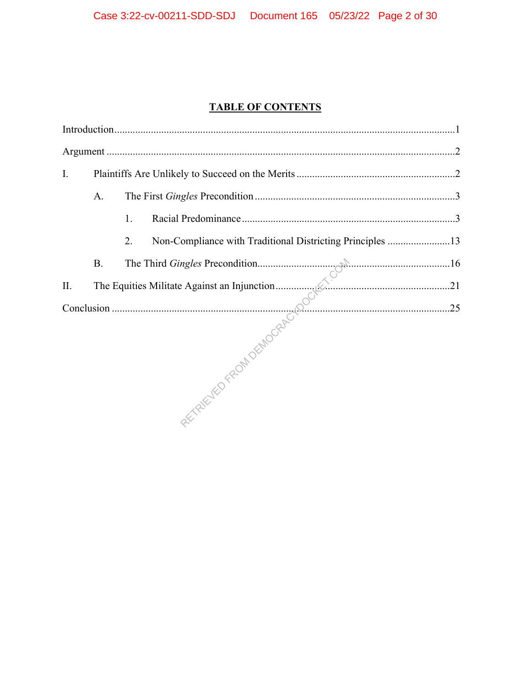# **TABLE OF CONTENTS**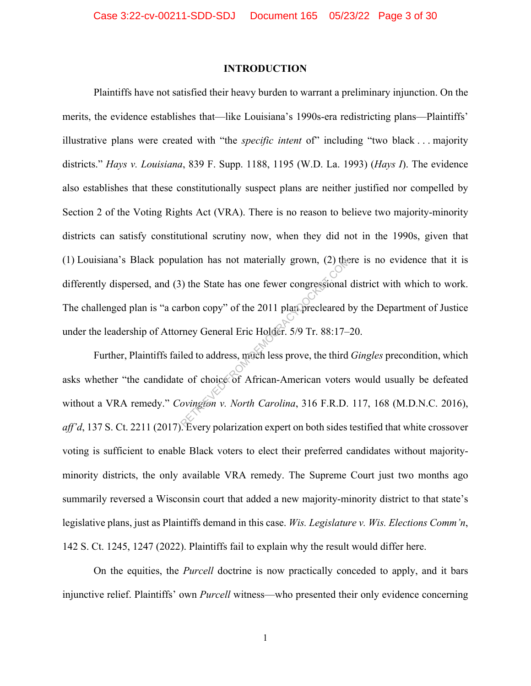#### **INTRODUCTION**

Plaintiffs have not satisfied their heavy burden to warrant a preliminary injunction. On the merits, the evidence establishes that—like Louisiana's 1990s-era redistricting plans—Plaintiffs' illustrative plans were created with "the *specific intent* of" including "two black . . . majority districts." *Hays v. Louisiana*, 839 F. Supp. 1188, 1195 (W.D. La. 1993) (*Hays I*). The evidence also establishes that these constitutionally suspect plans are neither justified nor compelled by Section 2 of the Voting Rights Act (VRA). There is no reason to believe two majority-minority districts can satisfy constitutional scrutiny now, when they did not in the 1990s, given that (1) Louisiana's Black population has not materially grown, (2) there is no evidence that it is differently dispersed, and (3) the State has one fewer congressional district with which to work. The challenged plan is "a carbon copy" of the 2011 plan precleared by the Department of Justice under the leadership of Attorney General Eric Holder. 5/9 Tr. 88:17–20. The State has one fewer congressional<br>
The State has one fewer congressional<br>
The State has one fewer congressional<br>
The State has one fewer congressional<br>
The State Holder. 5/9 Tr. 88:17–<br>
Led to address, much less prove,

Further, Plaintiffs failed to address, much less prove, the third *Gingles* precondition, which asks whether "the candidate of choice of African-American voters would usually be defeated without a VRA remedy." *Covington v. North Carolina*, 316 F.R.D. 117, 168 (M.D.N.C. 2016), *aff'd*, 137 S. Ct. 2211 (2017). Every polarization expert on both sides testified that white crossover voting is sufficient to enable Black voters to elect their preferred candidates without majorityminority districts, the only available VRA remedy. The Supreme Court just two months ago summarily reversed a Wisconsin court that added a new majority-minority district to that state's legislative plans, just as Plaintiffs demand in this case. *Wis. Legislature v. Wis. Elections Comm'n*, 142 S. Ct. 1245, 1247 (2022). Plaintiffs fail to explain why the result would differ here.

On the equities, the *Purcell* doctrine is now practically conceded to apply, and it bars injunctive relief. Plaintiffs' own *Purcell* witness—who presented their only evidence concerning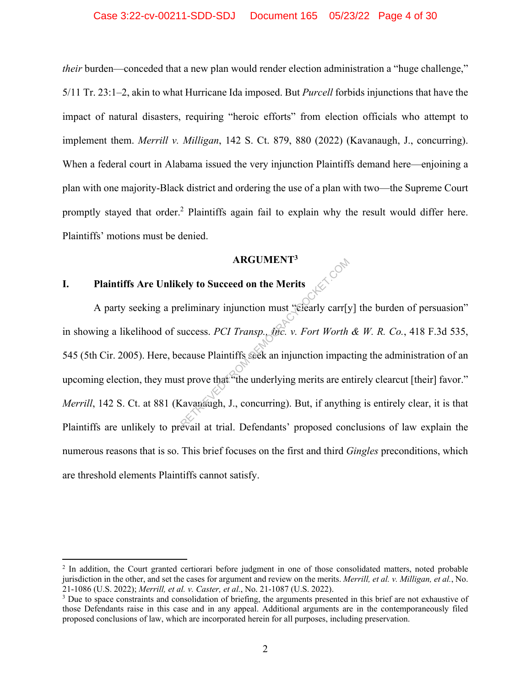*their* burden—conceded that a new plan would render election administration a "huge challenge," 5/11 Tr. 23:1–2, akin to what Hurricane Ida imposed. But *Purcell* forbids injunctions that have the impact of natural disasters, requiring "heroic efforts" from election officials who attempt to implement them. *Merrill v. Milligan*, 142 S. Ct. 879, 880 (2022) (Kavanaugh, J., concurring). When a federal court in Alabama issued the very injunction Plaintiffs demand here—enjoining a plan with one majority-Black district and ordering the use of a plan with two—the Supreme Court promptly stayed that order.<sup>2</sup> Plaintiffs again fail to explain why the result would differ here. Plaintiffs' motions must be denied.

#### **ARGUMENT3**

# **I. Plaintiffs Are Unlikely to Succeed on the Merits**

A party seeking a preliminary injunction must "clearly carr[y] the burden of persuasion" in showing a likelihood of success. *PCI Transp., Inc. v. Fort Worth & W. R. Co.*, 418 F.3d 535, 545 (5th Cir. 2005). Here, because Plaintiffs seek an injunction impacting the administration of an upcoming election, they must prove that "the underlying merits are entirely clearcut [their] favor." *Merrill*, 142 S. Ct. at 881 (Kavanaugh, J., concurring). But, if anything is entirely clear, it is that Plaintiffs are unlikely to prevail at trial. Defendants' proposed conclusions of law explain the numerous reasons that is so. This brief focuses on the first and third *Gingles* preconditions, which are threshold elements Plaintiffs cannot satisfy. ARGUMENT<sup>9</sup><br>ely to Succeed on the Merits<br>eliminary injunction must "clearly carr[y<br>uccess. *PCI Transp., the. v. Fort Worth*<br>ecause Plaintiffs seek an injunction impact<br>st prove that "the underlying merits are en<br>cavanaugh

<sup>&</sup>lt;sup>2</sup> In addition, the Court granted certiorari before judgment in one of those consolidated matters, noted probable jurisdiction in the other, and set the cases for argument and review on the merits. *Merrill, et al. v. Milligan, et al.*, No. 21-1086 (U.S. 2022); *Merrill, et al. v. Caster, et al.*, No. 21-1087 (U.S. 2022). 3

<sup>&</sup>lt;sup>3</sup> Due to space constraints and consolidation of briefing, the arguments presented in this brief are not exhaustive of those Defendants raise in this case and in any appeal. Additional arguments are in the contemporaneously filed proposed conclusions of law, which are incorporated herein for all purposes, including preservation.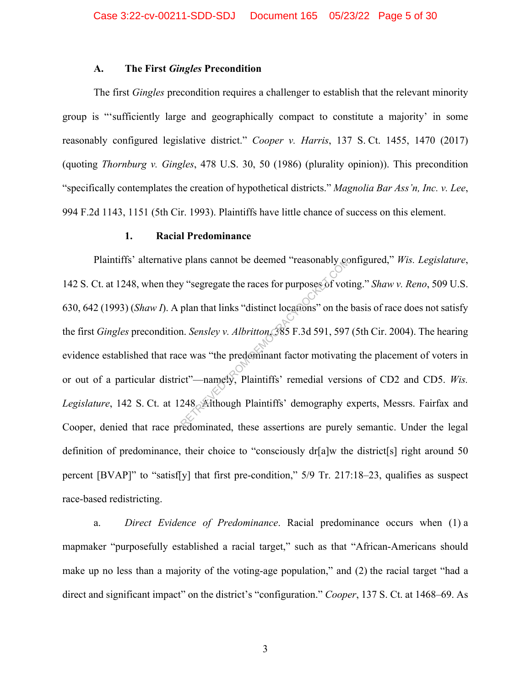#### **A. The First** *Gingles* **Precondition**

The first *Gingles* precondition requires a challenger to establish that the relevant minority group is "'sufficiently large and geographically compact to constitute a majority' in some reasonably configured legislative district." *Cooper v. Harris*, 137 S. Ct. 1455, 1470 (2017) (quoting *Thornburg v. Gingles*, 478 U.S. 30, 50 (1986) (plurality opinion)). This precondition "specifically contemplates the creation of hypothetical districts." *Magnolia Bar Ass'n, Inc. v. Lee*, 994 F.2d 1143, 1151 (5th Cir. 1993). Plaintiffs have little chance of success on this element.

#### **1. Racial Predominance**

Plaintiffs' alternative plans cannot be deemed "reasonably configured," *Wis. Legislature*, 142 S. Ct. at 1248, when they "segregate the races for purposes of voting." *Shaw v. Reno*, 509 U.S. 630, 642 (1993) (*Shaw I*). A plan that links "distinct locations" on the basis of race does not satisfy the first *Gingles* precondition. *Sensley v. Albritton*, 385 F.3d 591, 597 (5th Cir. 2004). The hearing evidence established that race was "the predominant factor motivating the placement of voters in or out of a particular district"—namely, Plaintiffs' remedial versions of CD2 and CD5. *Wis.*  Legislature, 142 S. Ct. at 1248. Although Plaintiffs' demography experts, Messrs. Fairfax and Cooper, denied that race predominated, these assertions are purely semantic. Under the legal definition of predominance, their choice to "consciously dr[a]w the district[s] right around 50 percent [BVAP]" to "satisf[y] that first pre-condition," 5/9 Tr. 217:18–23, qualifies as suspect race-based redistricting. Plans cannot be deemed "reasonably completed"<br>
y "segregate the races for purposes of votical<br>
plan that links "distinct locations" on the<br>
n. *Sensley v. Albritton*, 385 F.3d 591, 597<br>
ce was "the predominant factor motiv

a. *Direct Evidence of Predominance*. Racial predominance occurs when (1) a mapmaker "purposefully established a racial target," such as that "African-Americans should make up no less than a majority of the voting-age population," and (2) the racial target "had a direct and significant impact" on the district's "configuration." *Cooper*, 137 S. Ct. at 1468–69. As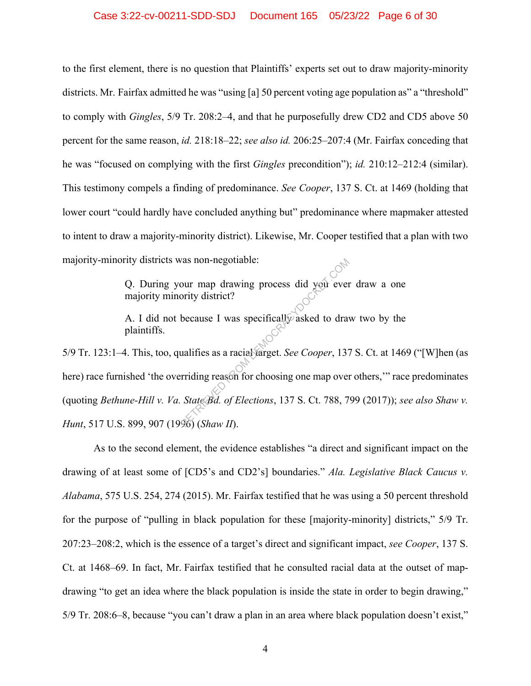to the first element, there is no question that Plaintiffs' experts set out to draw majority-minority districts. Mr. Fairfax admitted he was "using [a] 50 percent voting age population as" a "threshold" to comply with *Gingles*, 5/9 Tr. 208:2–4, and that he purposefully drew CD2 and CD5 above 50 percent for the same reason, *id.* 218:18–22; *see also id.* 206:25–207:4 (Mr. Fairfax conceding that he was "focused on complying with the first *Gingles* precondition"); *id.* 210:12–212:4 (similar). This testimony compels a finding of predominance. *See Cooper*, 137 S. Ct. at 1469 (holding that lower court "could hardly have concluded anything but" predominance where mapmaker attested to intent to draw a majority-minority district). Likewise, Mr. Cooper testified that a plan with two majority-minority districts was non-negotiable:

> Q. During your map drawing process did you ever draw a one majority minority district?

> A. I did not because I was specifically asked to draw two by the plaintiffs.

5/9 Tr. 123:1–4. This, too, qualifies as a racial target. *See Cooper*, 137 S. Ct. at 1469 ("[W]hen (as here) race furnished 'the overriding reason for choosing one map over others,'" race predominates (quoting *Bethune-Hill v. Va. State Bd. of Elections*, 137 S. Ct. 788, 799 (2017)); *see also Shaw v. Hunt*, 517 U.S. 899, 907 (1996) (*Shaw II*). The value of the discrete state of the discrete oriental term of the discrete state of the main state of Elections, 137 S. Ct. 788, 7<br>The State Bd. of Elections, 137 S. Ct. 788, 7<br>The State Bd. of Elections, 137 S. Ct. 78

As to the second element, the evidence establishes "a direct and significant impact on the drawing of at least some of [CD5's and CD2's] boundaries." *Ala. Legislative Black Caucus v. Alabama*, 575 U.S. 254, 274 (2015). Mr. Fairfax testified that he was using a 50 percent threshold for the purpose of "pulling in black population for these [majority-minority] districts," 5/9 Tr. 207:23–208:2, which is the essence of a target's direct and significant impact, *see Cooper*, 137 S. Ct. at 1468–69. In fact, Mr. Fairfax testified that he consulted racial data at the outset of mapdrawing "to get an idea where the black population is inside the state in order to begin drawing," 5/9 Tr. 208:6–8, because "you can't draw a plan in an area where black population doesn't exist,"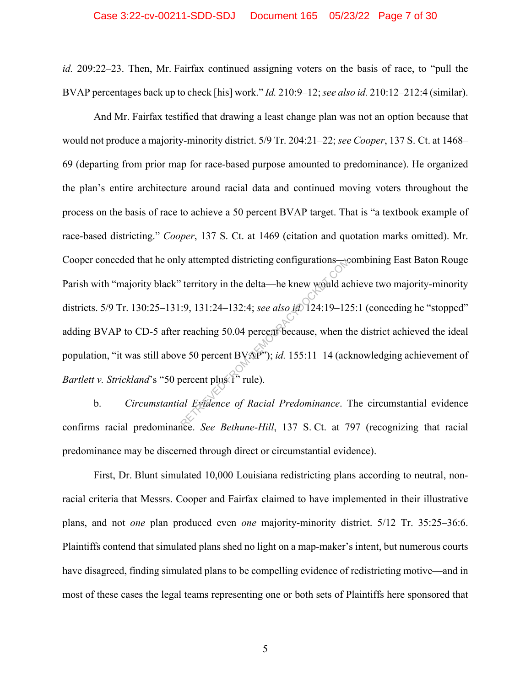*id.* 209:22–23. Then, Mr. Fairfax continued assigning voters on the basis of race, to "pull the BVAP percentages back up to check [his] work." *Id.* 210:9–12; *see also id.* 210:12–212:4 (similar).

And Mr. Fairfax testified that drawing a least change plan was not an option because that would not produce a majority-minority district. 5/9 Tr. 204:21–22; *see Cooper*, 137 S. Ct. at 1468– 69 (departing from prior map for race-based purpose amounted to predominance). He organized the plan's entire architecture around racial data and continued moving voters throughout the process on the basis of race to achieve a 50 percent BVAP target. That is "a textbook example of race-based districting." *Cooper*, 137 S. Ct. at 1469 (citation and quotation marks omitted). Mr. Cooper conceded that he only attempted districting configurations—combining East Baton Rouge Parish with "majority black" territory in the delta—he knew would achieve two majority-minority districts. 5/9 Tr. 130:25–131:9, 131:24–132:4; *see also id.* 124:19–125:1 (conceding he "stopped" adding BVAP to CD-5 after reaching 50.04 percent because, when the district achieved the ideal population, "it was still above 50 percent BVAP"); *id.* 155:11–14 (acknowledging achievement of *Bartlett v. Strickland's* "50 percent plus <sup>1</sup>" rule). y attempted districting configurations—<br>
territory in the delta—he knew would ac<br>  $\therefore$  9, 131:24–132:4; see also id 124:19–12<br>
reaching 50.04 percent because, when the<br>
resolution percent BVAP"); id. 155:11–14 (ach<br>
perc

b. *Circumstantial Evidence of Racial Predominance*. The circumstantial evidence confirms racial predominance. *See Bethune-Hill*, 137 S. Ct. at 797 (recognizing that racial predominance may be discerned through direct or circumstantial evidence).

First, Dr. Blunt simulated 10,000 Louisiana redistricting plans according to neutral, nonracial criteria that Messrs. Cooper and Fairfax claimed to have implemented in their illustrative plans, and not *one* plan produced even *one* majority-minority district. 5/12 Tr. 35:25–36:6. Plaintiffs contend that simulated plans shed no light on a map-maker's intent, but numerous courts have disagreed, finding simulated plans to be compelling evidence of redistricting motive—and in most of these cases the legal teams representing one or both sets of Plaintiffs here sponsored that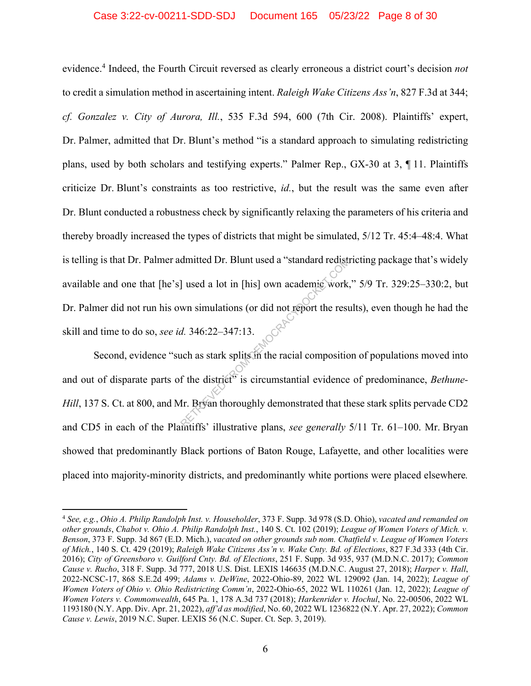#### Case 3:22-cv-00211-SDD-SDJ Document 165 05/23/22 Page 8 of 30

evidence.4 Indeed, the Fourth Circuit reversed as clearly erroneous a district court's decision *not* to credit a simulation method in ascertaining intent. *Raleigh Wake Citizens Ass'n*, 827 F.3d at 344; *cf. Gonzalez v. City of Aurora, Ill.*, 535 F.3d 594, 600 (7th Cir. 2008). Plaintiffs' expert, Dr. Palmer, admitted that Dr. Blunt's method "is a standard approach to simulating redistricting plans, used by both scholars and testifying experts." Palmer Rep., GX-30 at 3, ¶ 11. Plaintiffs criticize Dr. Blunt's constraints as too restrictive, *id.*, but the result was the same even after Dr. Blunt conducted a robustness check by significantly relaxing the parameters of his criteria and thereby broadly increased the types of districts that might be simulated, 5/12 Tr. 45:4–48:4. What is telling is that Dr. Palmer admitted Dr. Blunt used a "standard redistricting package that's widely available and one that [he's] used a lot in [his] own academic work," 5/9 Tr. 329:25–330:2, but Dr. Palmer did not run his own simulations (or did not report the results), even though he had the skill and time to do so, *see id.* 346:22–347:13. dmitted Dr. Blunt used a "standard redistrict"<br>
and a lot in [his] own academic work,<br>
wn simulations (or did not report the rest<br>
d. 346:22–347:13.<br>
uch as stark splits in the racial composition<br>
of the district<sup>15</sup> is ci

Second, evidence "such as stark splits in the racial composition of populations moved into and out of disparate parts of the district<sup>5</sup> is circumstantial evidence of predominance, *Bethune*-*Hill*, 137 S. Ct. at 800, and Mr. Bryan thoroughly demonstrated that these stark splits pervade CD2 and CD5 in each of the Plaintiffs' illustrative plans, *see generally* 5/11 Tr. 61–100. Mr. Bryan showed that predominantly Black portions of Baton Rouge, Lafayette, and other localities were placed into majority-minority districts, and predominantly white portions were placed elsewhere*.*

<sup>4</sup> *See, e.g.*, *Ohio A. Philip Randolph Inst. v. Householder*, 373 F. Supp. 3d 978 (S.D. Ohio), *vacated and remanded on other grounds*, *Chabot v. Ohio A. Philip Randolph Inst.*, 140 S. Ct. 102 (2019); *League of Women Voters of Mich. v. Benson*, 373 F. Supp. 3d 867 (E.D. Mich.), *vacated on other grounds sub nom. Chatfield v. League of Women Voters of Mich.*, 140 S. Ct. 429 (2019); *Raleigh Wake Citizens Ass'n v. Wake Cnty. Bd. of Elections*, 827 F.3d 333 (4th Cir. 2016); *City of Greensboro v. Guilford Cnty. Bd. of Elections*, 251 F. Supp. 3d 935, 937 (M.D.N.C. 2017); *Common Cause v. Rucho*, 318 F. Supp. 3d 777, 2018 U.S. Dist. LEXIS 146635 (M.D.N.C. August 27, 2018); *Harper v. Hall*, 2022-NCSC-17, 868 S.E.2d 499; *Adams v. DeWine*, 2022-Ohio-89, 2022 WL 129092 (Jan. 14, 2022); *League of Women Voters of Ohio v. Ohio Redistricting Comm'n*, 2022-Ohio-65, 2022 WL 110261 (Jan. 12, 2022); *League of Women Voters v. Commonwealth*, 645 Pa. 1, 178 A.3d 737 (2018); *Harkenrider v. Hochul*, No. 22-00506, 2022 WL 1193180 (N.Y. App. Div. Apr. 21, 2022), *aff'd as modified*, No. 60, 2022 WL 1236822 (N.Y. Apr. 27, 2022); *Common Cause v. Lewis*, 2019 N.C. Super. LEXIS 56 (N.C. Super. Ct. Sep. 3, 2019).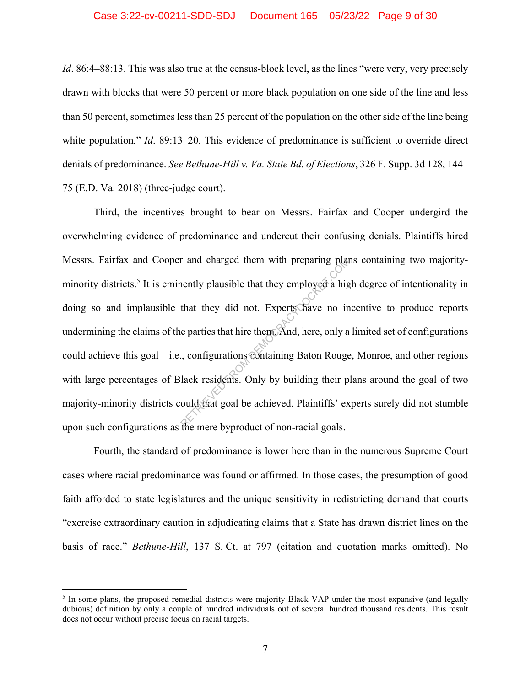*Id.* 86:4–88:13. This was also true at the census-block level, as the lines "were very, very precisely drawn with blocks that were 50 percent or more black population on one side of the line and less than 50 percent, sometimes less than 25 percent of the population on the other side of the line being white population." *Id.* 89:13–20. This evidence of predominance is sufficient to override direct denials of predominance. *See Bethune-Hill v. Va. State Bd. of Elections*, 326 F. Supp. 3d 128, 144– 75 (E.D. Va. 2018) (three-judge court).

Third, the incentives brought to bear on Messrs. Fairfax and Cooper undergird the overwhelming evidence of predominance and undercut their confusing denials. Plaintiffs hired Messrs. Fairfax and Cooper and charged them with preparing plans containing two majorityminority districts.<sup>5</sup> It is eminently plausible that they employed a high degree of intentionality in doing so and implausible that they did not. Experts have no incentive to produce reports undermining the claims of the parties that hire them. And, here, only a limited set of configurations could achieve this goal—i.e., configurations containing Baton Rouge, Monroe, and other regions with large percentages of Black residents. Only by building their plans around the goal of two majority-minority districts could that goal be achieved. Plaintiffs' experts surely did not stumble upon such configurations as the mere byproduct of non-racial goals. r and charged them with preparing planently plausible that they employed a high<br>that they did not. Experts have no in<br>e parties that hire them. And, here, only a<br>c, configurations containing Baton Rouge<br>lack residents. Onl

Fourth, the standard of predominance is lower here than in the numerous Supreme Court cases where racial predominance was found or affirmed. In those cases, the presumption of good faith afforded to state legislatures and the unique sensitivity in redistricting demand that courts "exercise extraordinary caution in adjudicating claims that a State has drawn district lines on the basis of race." *Bethune-Hill*, 137 S. Ct. at 797 (citation and quotation marks omitted). No

<sup>&</sup>lt;sup>5</sup> In some plans, the proposed remedial districts were majority Black VAP under the most expansive (and legally dubious) definition by only a couple of hundred individuals out of several hundred thousand residents. This result does not occur without precise focus on racial targets.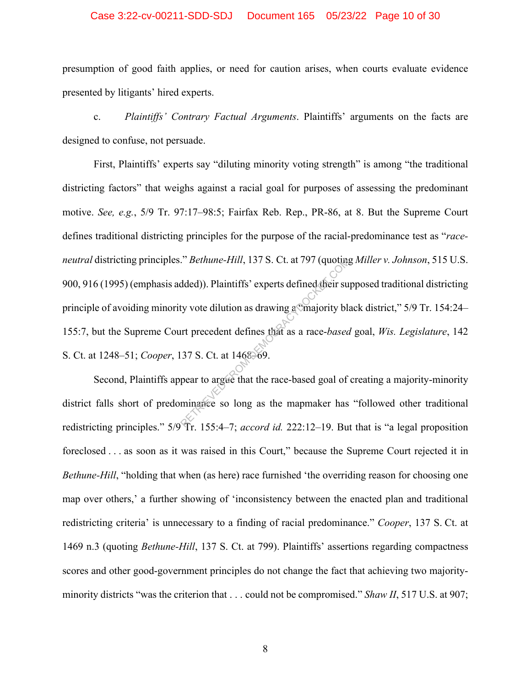#### Case 3:22-cv-00211-SDD-SDJ Document 165 05/23/22 Page 10 of 30

presumption of good faith applies, or need for caution arises, when courts evaluate evidence presented by litigants' hired experts.

c. *Plaintiffs' Contrary Factual Arguments*. Plaintiffs' arguments on the facts are designed to confuse, not persuade.

First, Plaintiffs' experts say "diluting minority voting strength" is among "the traditional districting factors" that weighs against a racial goal for purposes of assessing the predominant motive. *See, e.g.*, 5/9 Tr. 97:17–98:5; Fairfax Reb. Rep., PR-86, at 8. But the Supreme Court defines traditional districting principles for the purpose of the racial-predominance test as "*raceneutral* districting principles." *Bethune-Hill*, 137 S. Ct. at 797 (quoting *Miller v. Johnson*, 515 U.S. 900, 916 (1995) (emphasis added)). Plaintiffs' experts defined their supposed traditional districting principle of avoiding minority vote dilution as drawing a "majority black district," 5/9 Tr. 154:24– 155:7, but the Supreme Court precedent defines that as a race-*based* goal, *Wis. Legislature*, 142 S. Ct. at 1248–51; *Cooper*, 137 S. Ct. at 1468–69. *Phethune-Hill, 137 S. Ct. at 797 (quoting*<br>dded)). Plaintiffs' experts defined their surf<br>ty vote dilution as drawing a majority blanched their surfact of the magnetic phase and a race-based.<br>37 S. Ct. at 1468–69.<br>pear t

Second, Plaintiffs appear to argue that the race-based goal of creating a majority-minority district falls short of predominance so long as the mapmaker has "followed other traditional redistricting principles." 5/9 Tr. 155:4–7; *accord id.* 222:12–19. But that is "a legal proposition foreclosed . . . as soon as it was raised in this Court," because the Supreme Court rejected it in *Bethune-Hill*, "holding that when (as here) race furnished 'the overriding reason for choosing one map over others,' a further showing of 'inconsistency between the enacted plan and traditional redistricting criteria' is unnecessary to a finding of racial predominance." *Cooper*, 137 S. Ct. at 1469 n.3 (quoting *Bethune-Hill*, 137 S. Ct. at 799). Plaintiffs' assertions regarding compactness scores and other good-government principles do not change the fact that achieving two majorityminority districts "was the criterion that . . . could not be compromised." *Shaw II*, 517 U.S. at 907;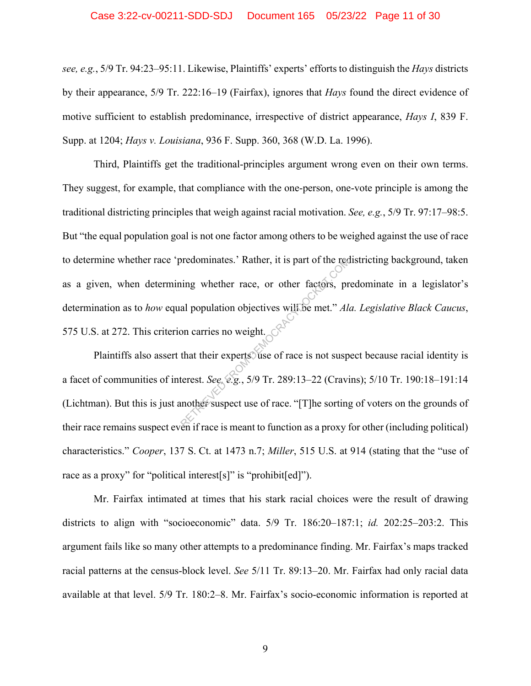#### Case 3:22-cv-00211-SDD-SDJ Document 165 05/23/22 Page 11 of 30

*see, e.g.*, 5/9 Tr. 94:23–95:11. Likewise, Plaintiffs' experts' efforts to distinguish the *Hays* districts by their appearance, 5/9 Tr. 222:16–19 (Fairfax), ignores that *Hays* found the direct evidence of motive sufficient to establish predominance, irrespective of district appearance, *Hays I*, 839 F. Supp. at 1204; *Hays v. Louisiana*, 936 F. Supp. 360, 368 (W.D. La. 1996).

Third, Plaintiffs get the traditional-principles argument wrong even on their own terms. They suggest, for example, that compliance with the one-person, one-vote principle is among the traditional districting principles that weigh against racial motivation. *See, e.g.*, 5/9 Tr. 97:17–98:5. But "the equal population goal is not one factor among others to be weighed against the use of race to determine whether race 'predominates.' Rather, it is part of the redistricting background, taken as a given, when determining whether race, or other factors, predominate in a legislator's determination as to *how* equal population objectives will be met." *Ala. Legislative Black Caucus*, 575 U.S. at 272. This criterion carries no weight. redominates.' Rather, it is part of the recession<br>ing whether race, or other factors, pr<br>al population objectives will be met." Ala<br>on carries no weight.<br>that their experts use of race is not susp<br>terest. See, e.g., 5/9 Tr

Plaintiffs also assert that their experts use of race is not suspect because racial identity is a facet of communities of interest. *See, e.g.*, 5/9 Tr. 289:13–22 (Cravins); 5/10 Tr. 190:18–191:14 (Lichtman). But this is just another suspect use of race. "[T]he sorting of voters on the grounds of their race remains suspect even if race is meant to function as a proxy for other (including political) characteristics." *Cooper*, 137 S. Ct. at 1473 n.7; *Miller*, 515 U.S. at 914 (stating that the "use of race as a proxy" for "political interest[s]" is "prohibit[ed]").

Mr. Fairfax intimated at times that his stark racial choices were the result of drawing districts to align with "socioeconomic" data. 5/9 Tr. 186:20–187:1; *id.* 202:25–203:2. This argument fails like so many other attempts to a predominance finding. Mr. Fairfax's maps tracked racial patterns at the census-block level. *See* 5/11 Tr. 89:13–20. Mr. Fairfax had only racial data available at that level. 5/9 Tr. 180:2–8. Mr. Fairfax's socio-economic information is reported at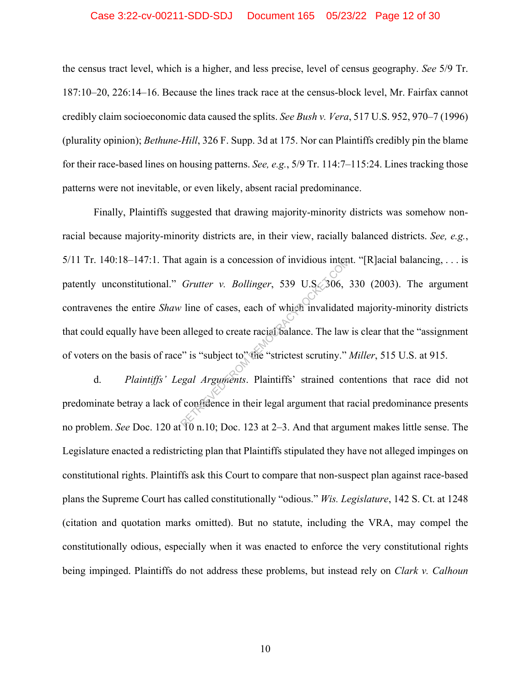#### Case 3:22-cv-00211-SDD-SDJ Document 165 05/23/22 Page 12 of 30

the census tract level, which is a higher, and less precise, level of census geography. *See* 5/9 Tr. 187:10–20, 226:14–16. Because the lines track race at the census-block level, Mr. Fairfax cannot credibly claim socioeconomic data caused the splits. *See Bush v. Vera*, 517 U.S. 952, 970–7 (1996) (plurality opinion); *Bethune-Hill*, 326 F. Supp. 3d at 175. Nor can Plaintiffs credibly pin the blame for their race-based lines on housing patterns. *See, e.g.*, 5/9 Tr. 114:7–115:24. Lines tracking those patterns were not inevitable, or even likely, absent racial predominance.

Finally, Plaintiffs suggested that drawing majority-minority districts was somehow nonracial because majority-minority districts are, in their view, racially balanced districts. *See, e.g.*, 5/11 Tr. 140:18–147:1. That again is a concession of invidious intent. "[R]acial balancing, ... is patently unconstitutional." *Grutter v. Bollinger*, 539 U.S. 306, 330 (2003). The argument contravenes the entire *Shaw* line of cases, each of which invalidated majority-minority districts that could equally have been alleged to create racial balance. The law is clear that the "assignment of voters on the basis of race" is "subject to" the "strictest scrutiny." *Miller*, 515 U.S. at 915. Example 18 a concession of invidious intended<br>
Grutter v. Bollinger, 539 U.S. 306,<br>
The of cases, each of which invalidate<br>
alleged to create racial balance. The law<br>  $\cdot$  is "subject to" the "strictest scrutiny."<br>
Exampl

d. *Plaintiffs' Legal Arguments*. Plaintiffs' strained contentions that race did not predominate betray a lack of confidence in their legal argument that racial predominance presents no problem. *See* Doc. 120 at 10 n.10; Doc. 123 at 2–3. And that argument makes little sense. The Legislature enacted a redistricting plan that Plaintiffs stipulated they have not alleged impinges on constitutional rights. Plaintiffs ask this Court to compare that non-suspect plan against race-based plans the Supreme Court has called constitutionally "odious." *Wis. Legislature*, 142 S. Ct. at 1248 (citation and quotation marks omitted). But no statute, including the VRA, may compel the constitutionally odious, especially when it was enacted to enforce the very constitutional rights being impinged. Plaintiffs do not address these problems, but instead rely on *Clark v. Calhoun*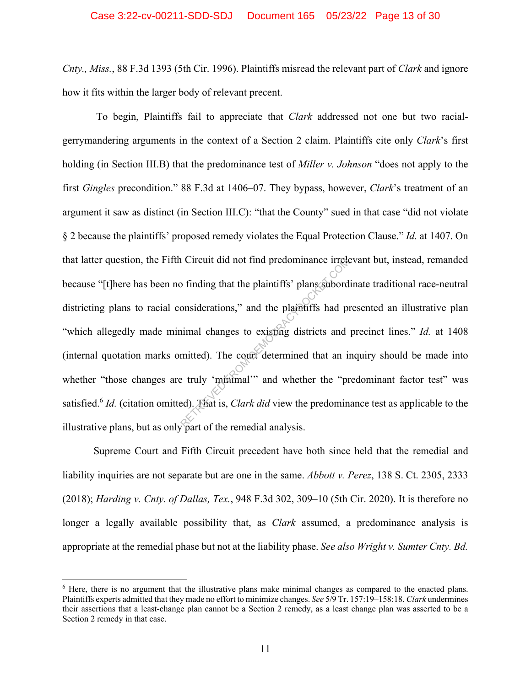*Cnty., Miss.*, 88 F.3d 1393 (5th Cir. 1996). Plaintiffs misread the relevant part of *Clark* and ignore how it fits within the larger body of relevant precent.

 To begin, Plaintiffs fail to appreciate that *Clark* addressed not one but two racialgerrymandering arguments in the context of a Section 2 claim. Plaintiffs cite only *Clark*'s first holding (in Section III.B) that the predominance test of *Miller v. Johnson* "does not apply to the first *Gingles* precondition." 88 F.3d at 1406–07. They bypass, however, *Clark*'s treatment of an argument it saw as distinct (in Section III.C): "that the County" sued in that case "did not violate § 2 because the plaintiffs' proposed remedy violates the Equal Protection Clause." *Id.* at 1407. On that latter question, the Fifth Circuit did not find predominance irrelevant but, instead, remanded because "[t]here has been no finding that the plaintiffs' plans subordinate traditional race-neutral districting plans to racial considerations," and the plaintiffs had presented an illustrative plan "which allegedly made minimal changes to existing districts and precinct lines." *Id.* at 1408 (internal quotation marks omitted). The court determined that an inquiry should be made into whether "those changes are truly 'minimal'" and whether the "predominant factor test" was satisfied.6 *Id.* (citation omitted). That is, *Clark did* view the predominance test as applicable to the illustrative plans, but as only part of the remedial analysis. Exercise to the plaintiffs' plans subord<br>
onsiderations," and the plaintiffs had providently be a plaintiffs had provident<br>
imal changes to existing districts and<br>
mitted). The court determined that an interval the "predi

Supreme Court and Fifth Circuit precedent have both since held that the remedial and liability inquiries are not separate but are one in the same. *Abbott v. Perez*, 138 S. Ct. 2305, 2333 (2018); *Harding v. Cnty. of Dallas, Tex.*, 948 F.3d 302, 309–10 (5th Cir. 2020). It is therefore no longer a legally available possibility that, as *Clark* assumed, a predominance analysis is appropriate at the remedial phase but not at the liability phase. *See also Wright v. Sumter Cnty. Bd.* 

<sup>&</sup>lt;sup>6</sup> Here, there is no argument that the illustrative plans make minimal changes as compared to the enacted plans. Plaintiffs experts admitted that they made no effort to minimize changes. *See* 5/9 Tr. 157:19–158:18. *Clark* undermines their assertions that a least-change plan cannot be a Section 2 remedy, as a least change plan was asserted to be a Section 2 remedy in that case.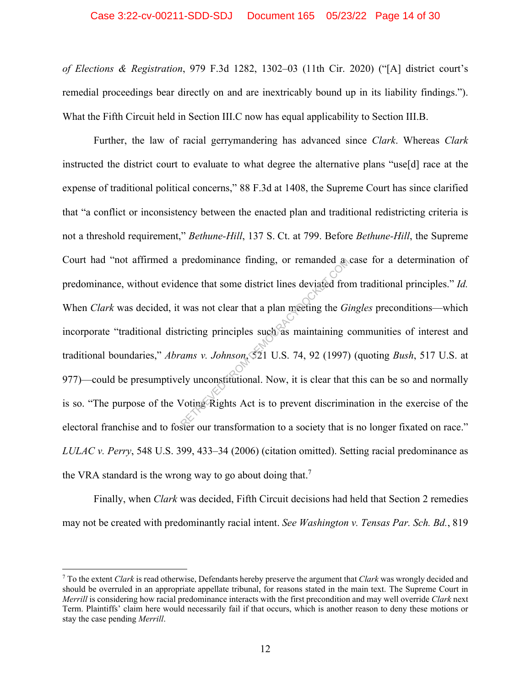#### Case 3:22-cv-00211-SDD-SDJ Document 165 05/23/22 Page 14 of 30

*of Elections & Registration*, 979 F.3d 1282, 1302–03 (11th Cir. 2020) ("[A] district court's remedial proceedings bear directly on and are inextricably bound up in its liability findings."). What the Fifth Circuit held in Section III.C now has equal applicability to Section III.B.

Further, the law of racial gerrymandering has advanced since *Clark*. Whereas *Clark* instructed the district court to evaluate to what degree the alternative plans "use[d] race at the expense of traditional political concerns," 88 F.3d at 1408, the Supreme Court has since clarified that "a conflict or inconsistency between the enacted plan and traditional redistricting criteria is not a threshold requirement," *Bethune-Hill*, 137 S. Ct. at 799. Before *Bethune-Hill*, the Supreme Court had "not affirmed a predominance finding, or remanded a case for a determination of predominance, without evidence that some district lines deviated from traditional principles." *Id.* When *Clark* was decided, it was not clear that a plan meeting the *Gingles* preconditions—which incorporate "traditional districting principles such as maintaining communities of interest and traditional boundaries," *Abrams v. Johnson*, 521 U.S. 74, 92 (1997) (quoting *Bush*, 517 U.S. at 977)—could be presumptively unconstitutional. Now, it is clear that this can be so and normally is so. "The purpose of the Voting Rights Act is to prevent discrimination in the exercise of the electoral franchise and to foster our transformation to a society that is no longer fixated on race." *LULAC v. Perry*, 548 U.S. 399, 433–34 (2006) (citation omitted). Setting racial predominance as the VRA standard is the wrong way to go about doing that.<sup>7</sup> predominance finding, or remanded a<br>
ence that some district lines deviated from<br>
was not clear that a plan meeting the *Gi*<br>
ricting principles such as maintaining c<br> *ams v. Johnson*, 521 U.S. 74, 92 (1997)<br>
ely unconsti

Finally, when *Clark* was decided, Fifth Circuit decisions had held that Section 2 remedies may not be created with predominantly racial intent. *See Washington v. Tensas Par. Sch. Bd.*, 819

<sup>7</sup> To the extent *Clark* is read otherwise, Defendants hereby preserve the argument that *Clark* was wrongly decided and should be overruled in an appropriate appellate tribunal, for reasons stated in the main text. The Supreme Court in *Merrill* is considering how racial predominance interacts with the first precondition and may well override *Clark* next Term. Plaintiffs' claim here would necessarily fail if that occurs, which is another reason to deny these motions or stay the case pending *Merrill*.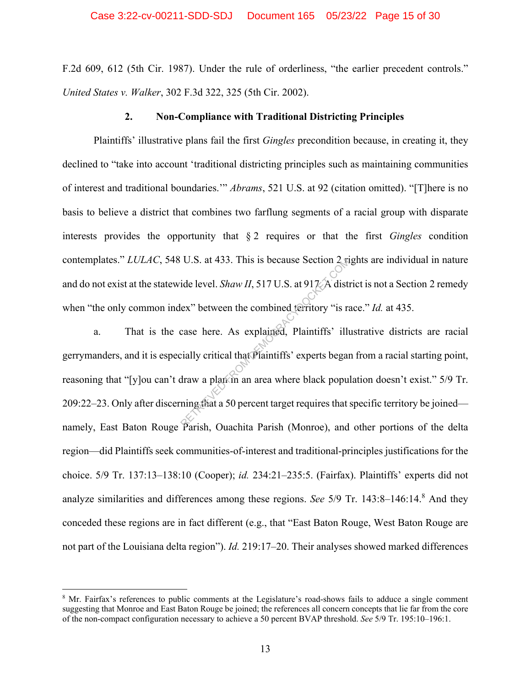F.2d 609, 612 (5th Cir. 1987). Under the rule of orderliness, "the earlier precedent controls." *United States v. Walker*, 302 F.3d 322, 325 (5th Cir. 2002).

#### **2. Non-Compliance with Traditional Districting Principles**

Plaintiffs' illustrative plans fail the first *Gingles* precondition because, in creating it, they declined to "take into account 'traditional districting principles such as maintaining communities of interest and traditional boundaries.'" *Abrams*, 521 U.S. at 92 (citation omitted). "[T]here is no basis to believe a district that combines two farflung segments of a racial group with disparate interests provides the opportunity that § 2 requires or that the first *Gingles* condition contemplates." *LULAC*, 548 U.S. at 433. This is because Section 2 rights are individual in nature and do not exist at the statewide level. *Shaw II*, 517 U.S. at 917. A district is not a Section 2 remedy when "the only common index" between the combined territory "is race." *Id.* at 435.

a. That is the case here. As explained, Plaintiffs' illustrative districts are racial gerrymanders, and it is especially critical that Plaintiffs' experts began from a racial starting point, reasoning that "[y]ou can't draw a plan in an area where black population doesn't exist." 5/9 Tr. 209:22–23. Only after discerning that a 50 percent target requires that specific territory be joined namely, East Baton Rouge Parish, Ouachita Parish (Monroe), and other portions of the delta region—did Plaintiffs seek communities-of-interest and traditional-principles justifications for the choice. 5/9 Tr. 137:13–138:10 (Cooper); *id.* 234:21–235:5. (Fairfax). Plaintiffs' experts did not analyze similarities and differences among these regions. *See* 5/9 Tr. 143:8-146:14.<sup>8</sup> And they conceded these regions are in fact different (e.g., that "East Baton Rouge, West Baton Rouge are not part of the Louisiana delta region"). *Id.* 219:17–20. Their analyses showed marked differences U.S. at 433. This is because Section 2 is<br>ide level. *Shaw II*, 517 U.S. at 917 A distinct ex<sup>2</sup> between the combined territory "is racase here. As explained, Plaintiffs' illuminally critical that Plaintiffs' experts bega

<sup>&</sup>lt;sup>8</sup> Mr. Fairfax's references to public comments at the Legislature's road-shows fails to adduce a single comment suggesting that Monroe and East Baton Rouge be joined; the references all concern concepts that lie far from the core of the non-compact configuration necessary to achieve a 50 percent BVAP threshold. *See* 5/9 Tr. 195:10–196:1.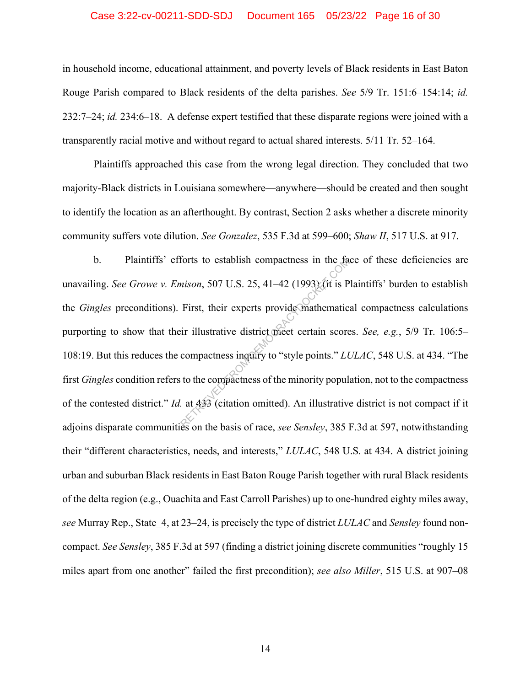#### Case 3:22-cv-00211-SDD-SDJ Document 165 05/23/22 Page 16 of 30

in household income, educational attainment, and poverty levels of Black residents in East Baton Rouge Parish compared to Black residents of the delta parishes. *See* 5/9 Tr. 151:6–154:14; *id.* 232:7–24; *id.* 234:6–18. A defense expert testified that these disparate regions were joined with a transparently racial motive and without regard to actual shared interests. 5/11 Tr. 52–164.

Plaintiffs approached this case from the wrong legal direction. They concluded that two majority-Black districts in Louisiana somewhere—anywhere—should be created and then sought to identify the location as an afterthought. By contrast, Section 2 asks whether a discrete minority community suffers vote dilution. *See Gonzalez*, 535 F.3d at 599–600; *Shaw II*, 517 U.S. at 917.

b. Plaintiffs' efforts to establish compactness in the face of these deficiencies are unavailing. *See Growe v. Emison*, 507 U.S. 25, 41–42 (1993) (it is Plaintiffs' burden to establish the *Gingles* preconditions). First, their experts provide mathematical compactness calculations purporting to show that their illustrative district meet certain scores. *See, e.g.*, 5/9 Tr. 106:5– 108:19. But this reduces the compactness inquiry to "style points." *LULAC*, 548 U.S. at 434. "The first *Gingles* condition refers to the compactness of the minority population, not to the compactness of the contested district." *Id.* at 433 (citation omitted). An illustrative district is not compact if it adjoins disparate communities on the basis of race, *see Sensley*, 385 F.3d at 597, notwithstanding their "different characteristics, needs, and interests," *LULAC*, 548 U.S. at 434. A district joining urban and suburban Black residents in East Baton Rouge Parish together with rural Black residents of the delta region (e.g., Ouachita and East Carroll Parishes) up to one-hundred eighty miles away, *see* Murray Rep., State\_4, at 23–24, is precisely the type of district *LULAC* and *Sensley* found noncompact. *See Sensley*, 385 F.3d at 597 (finding a district joining discrete communities "roughly 15 miles apart from one another" failed the first precondition); *see also Miller*, 515 U.S. at 907–08 forts to establish compactness in the ta<br>mison, 507 U.S. 25, 41–42 (1993) (it is P<br>First, their experts provide mathematic<br>ir illustrative district meet certain score<br>compactness inquiry to "style points." Lt<br>to the compa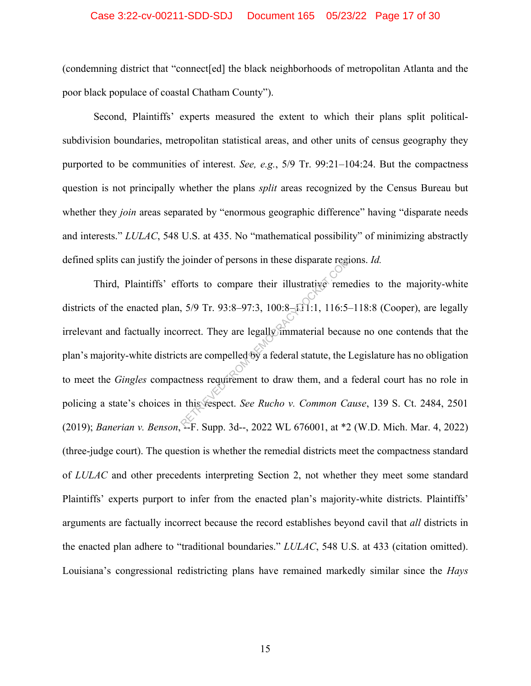#### Case 3:22-cv-00211-SDD-SDJ Document 165 05/23/22 Page 17 of 30

(condemning district that "connect[ed] the black neighborhoods of metropolitan Atlanta and the poor black populace of coastal Chatham County").

Second, Plaintiffs' experts measured the extent to which their plans split politicalsubdivision boundaries, metropolitan statistical areas, and other units of census geography they purported to be communities of interest. *See, e.g.*, 5/9 Tr. 99:21–104:24. But the compactness question is not principally whether the plans *split* areas recognized by the Census Bureau but whether they *join* areas separated by "enormous geographic difference" having "disparate needs" and interests." *LULAC*, 548 U.S. at 435. No "mathematical possibility" of minimizing abstractly defined splits can justify the joinder of persons in these disparate regions. *Id.*

Third, Plaintiffs' efforts to compare their illustrative remedies to the majority-white districts of the enacted plan,  $5/9$  Tr.  $93:8-97:3$ ,  $100:8-111:1$ ,  $116:5-118:8$  (Cooper), are legally irrelevant and factually incorrect. They are legally immaterial because no one contends that the plan's majority-white districts are compelled by a federal statute, the Legislature has no obligation to meet the *Gingles* compactness requirement to draw them, and a federal court has no role in policing a state's choices in this respect. *See Rucho v. Common Cause*, 139 S. Ct. 2484, 2501 (2019); *Banerian v. Benson*, --F. Supp. 3d--, 2022 WL 676001, at \*2 (W.D. Mich. Mar. 4, 2022) (three-judge court). The question is whether the remedial districts meet the compactness standard of *LULAC* and other precedents interpreting Section 2, not whether they meet some standard Plaintiffs' experts purport to infer from the enacted plan's majority-white districts. Plaintiffs' arguments are factually incorrect because the record establishes beyond cavil that *all* districts in the enacted plan adhere to "traditional boundaries." *LULAC*, 548 U.S. at 433 (citation omitted). Louisiana's congressional redistricting plans have remained markedly similar since the *Hays* Forts to compare their illustrative remeters<br>forts to compare their illustrative remeters<br> $5/9$  Tr. 93:8-97:3, 100:8- $\Omega$ 1:1, 116:5-<br>orrect. They are legally immaterial becausts are compelled by a federal statute, the l<br>t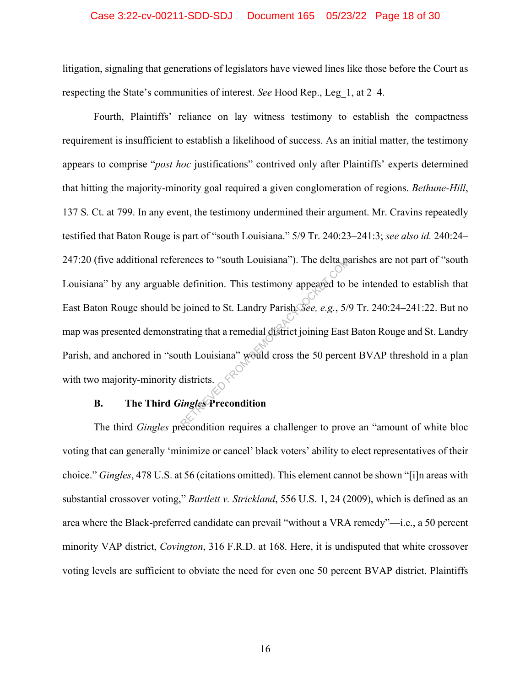#### Case 3:22-cv-00211-SDD-SDJ Document 165 05/23/22 Page 18 of 30

litigation, signaling that generations of legislators have viewed lines like those before the Court as respecting the State's communities of interest. *See* Hood Rep., Leg\_1, at 2–4.

Fourth, Plaintiffs' reliance on lay witness testimony to establish the compactness requirement is insufficient to establish a likelihood of success. As an initial matter, the testimony appears to comprise "*post hoc* justifications" contrived only after Plaintiffs' experts determined that hitting the majority-minority goal required a given conglomeration of regions. *Bethune-Hill*, 137 S. Ct. at 799. In any event, the testimony undermined their argument. Mr. Cravins repeatedly testified that Baton Rouge is part of "south Louisiana." 5/9 Tr. 240:23–241:3; *see also id.* 240:24– 247:20 (five additional references to "south Louisiana"). The delta parishes are not part of "south Louisiana" by any arguable definition. This testimony appeared to be intended to establish that East Baton Rouge should be joined to St. Landry Parish. *See, e.g.*, 5/9 Tr. 240:24–241:22. But no map was presented demonstrating that a remedial district joining East Baton Rouge and St. Landry Parish, and anchored in "south Louisiana" would cross the 50 percent BVAP threshold in a plan with two majority-minority districts. ences to "south Louisiana"). The delta particular definition. This testimony appeared to lead to still increase to the solution of the state of the Louisiana exponential district joining East at the Louisiana exposure woul

### **B. The Third** *Gingles* **Precondition**

The third *Gingles* precondition requires a challenger to prove an "amount of white bloc voting that can generally 'minimize or cancel' black voters' ability to elect representatives of their choice." *Gingles*, 478 U.S. at 56 (citations omitted). This element cannot be shown "[i]n areas with substantial crossover voting," *Bartlett v. Strickland*, 556 U.S. 1, 24 (2009), which is defined as an area where the Black-preferred candidate can prevail "without a VRA remedy"—i.e., a 50 percent minority VAP district, *Covington*, 316 F.R.D. at 168. Here, it is undisputed that white crossover voting levels are sufficient to obviate the need for even one 50 percent BVAP district. Plaintiffs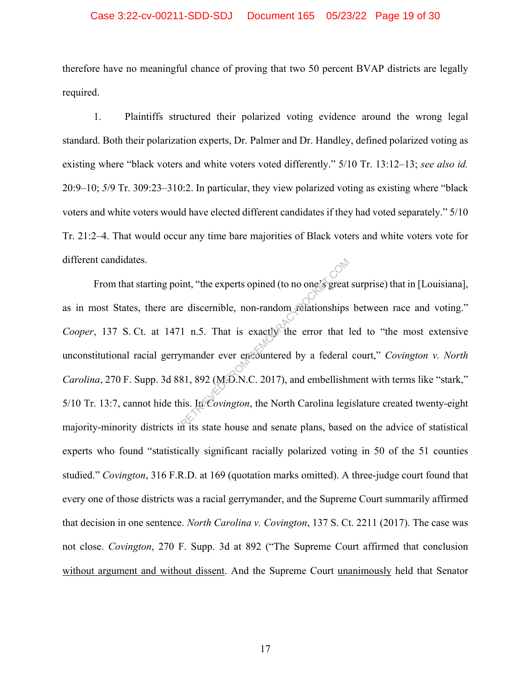#### Case 3:22-cv-00211-SDD-SDJ Document 165 05/23/22 Page 19 of 30

therefore have no meaningful chance of proving that two 50 percent BVAP districts are legally required.

1. Plaintiffs structured their polarized voting evidence around the wrong legal standard. Both their polarization experts, Dr. Palmer and Dr. Handley, defined polarized voting as existing where "black voters and white voters voted differently." 5/10 Tr. 13:12–13; *see also id.* 20:9–10; *5*/9 Tr. 309:23–310:2. In particular, they view polarized voting as existing where "black voters and white voters would have elected different candidates if they had voted separately." 5/10 Tr. 21:2–4. That would occur any time bare majorities of Black voters and white voters vote for different candidates.

From that starting point, "the experts opined (to no one's great surprise) that in [Louisiana], as in most States, there are discernible, non-random relationships between race and voting." *Cooper*, 137 S. Ct. at 1471 n.5. That is exactly the error that led to "the most extensive unconstitutional racial gerrymander ever encountered by a federal court," *Covington v. North Carolina*, 270 F. Supp. 3d 881, 892 (M.D.N.C. 2017), and embellishment with terms like "stark," 5/10 Tr. 13:7, cannot hide this. In *Covington*, the North Carolina legislature created twenty-eight majority-minority districts in its state house and senate plans, based on the advice of statistical experts who found "statistically significant racially polarized voting in 50 of the 51 counties studied." *Covington*, 316 F.R.D. at 169 (quotation marks omitted). A three-judge court found that every one of those districts was a racial gerrymander, and the Supreme Court summarily affirmed that decision in one sentence. *North Carolina v. Covington*, 137 S. Ct. 2211 (2017). The case was not close. *Covington*, 270 F. Supp. 3d at 892 ("The Supreme Court affirmed that conclusion without argument and without dissent. And the Supreme Court unanimously held that Senator int, "the experts opined (to no one's great<br>
e discernible, non-random relationships<br>
1 n.5. That is exactly the error that<br>
1 mander ever encountered by a federal<br>
81, 892 (M.D.N.C. 2017), and embellish<br>
is. In Covington,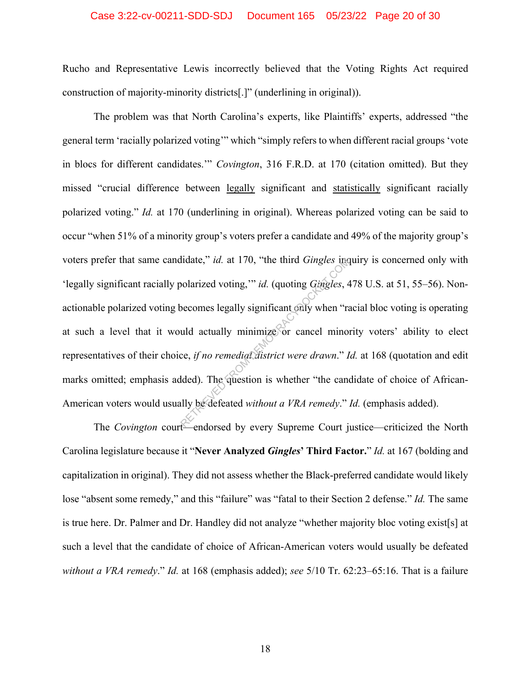#### Case 3:22-cv-00211-SDD-SDJ Document 165 05/23/22 Page 20 of 30

Rucho and Representative Lewis incorrectly believed that the Voting Rights Act required construction of majority-minority districts[.]" (underlining in original)).

The problem was that North Carolina's experts, like Plaintiffs' experts, addressed "the general term 'racially polarized voting'" which "simply refers to when different racial groups 'vote in blocs for different candidates.'" *Covington*, 316 F.R.D. at 170 (citation omitted). But they missed "crucial difference between legally significant and statistically significant racially polarized voting." *Id.* at 170 (underlining in original). Whereas polarized voting can be said to occur "when 51% of a minority group's voters prefer a candidate and 49% of the majority group's voters prefer that same candidate," *id.* at 170, "the third *Gingles* inquiry is concerned only with 'legally significant racially polarized voting,'" *id.* (quoting *Gingles*, 478 U.S. at 51, 55–56). Nonactionable polarized voting becomes legally significant only when "racial bloc voting is operating at such a level that it would actually minimize or cancel minority voters' ability to elect representatives of their choice, *if no remedial district were drawn*." *Id.* at 168 (quotation and edit marks omitted; emphasis added). The question is whether "the candidate of choice of African-American voters would usually be defeated *without a VRA remedy*." *Id.* (emphasis added). Indate," *id.* at 170, "the third *Gingles* incodentized voting,"" *id.* (quoting *Gingles*,  $\epsilon$ <br>becomes legally significant only when "rand actually minimize or cancel mino:<br>ce, *if no remedial district were drawn.*" *I* 

The *Covington* court—endorsed by every Supreme Court justice—criticized the North Carolina legislature because it "**Never Analyzed** *Gingles***' Third Factor.**" *Id.* at 167 (bolding and capitalization in original). They did not assess whether the Black-preferred candidate would likely lose "absent some remedy," and this "failure" was "fatal to their Section 2 defense." *Id.* The same is true here. Dr. Palmer and Dr. Handley did not analyze "whether majority bloc voting exist[s] at such a level that the candidate of choice of African-American voters would usually be defeated *without a VRA remedy*." *Id.* at 168 (emphasis added); *see* 5/10 Tr. 62:23–65:16. That is a failure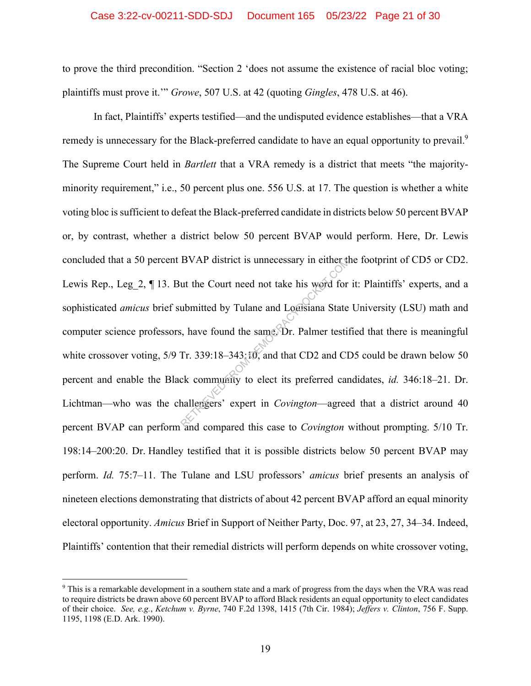#### Case 3:22-cv-00211-SDD-SDJ Document 165 05/23/22 Page 21 of 30

to prove the third precondition. "Section 2 'does not assume the existence of racial bloc voting; plaintiffs must prove it.'" *Growe*, 507 U.S. at 42 (quoting *Gingles*, 478 U.S. at 46).

In fact, Plaintiffs' experts testified—and the undisputed evidence establishes—that a VRA remedy is unnecessary for the Black-preferred candidate to have an equal opportunity to prevail.<sup>9</sup> The Supreme Court held in *Bartlett* that a VRA remedy is a district that meets "the majorityminority requirement," i.e., 50 percent plus one. 556 U.S. at 17. The question is whether a white voting bloc is sufficient to defeat the Black-preferred candidate in districts below 50 percent BVAP or, by contrast, whether a district below 50 percent BVAP would perform. Here, Dr. Lewis concluded that a 50 percent BVAP district is unnecessary in either the footprint of CD5 or CD2. Lewis Rep., Leg 2, ¶ 13. But the Court need not take his word for it: Plaintiffs' experts, and a sophisticated *amicus* brief submitted by Tulane and Louisiana State University (LSU) math and computer science professors, have found the same. Dr. Palmer testified that there is meaningful white crossover voting, 5/9 Tr. 339:18-343:10, and that CD2 and CD5 could be drawn below 50 percent and enable the Black community to elect its preferred candidates, *id.* 346:18–21. Dr. Lichtman—who was the challengers' expert in *Covington*—agreed that a district around 40 percent BVAP can perform and compared this case to *Covington* without prompting. 5/10 Tr. 198:14–200:20. Dr. Handley testified that it is possible districts below 50 percent BVAP may perform. *Id.* 75:7–11. The Tulane and LSU professors' *amicus* brief presents an analysis of nineteen elections demonstrating that districts of about 42 percent BVAP afford an equal minority electoral opportunity. *Amicus* Brief in Support of Neither Party, Doc. 97, at 23, 27, 34–34. Indeed, Plaintiffs' contention that their remedial districts will perform depends on white crossover voting, BVAP district is unnecessary in either the<br>ut the Court need not take his word for<br>ubmitted by Tulane and Logisiana State<br>i, have found the same Dr. Palmer testif<br>Tr. 339:18–343:10, and that CD2 and CI<br>ck community to elec

<sup>&</sup>lt;sup>9</sup> This is a remarkable development in a southern state and a mark of progress from the days when the VRA was read to require districts be drawn above 60 percent BVAP to afford Black residents an equal opportunity to elect candidates of their choice. *See, e.g.*, *Ketchum v. Byrne*, 740 F.2d 1398, 1415 (7th Cir. 1984); *Jeffers v. Clinton*, 756 F. Supp. 1195, 1198 (E.D. Ark. 1990).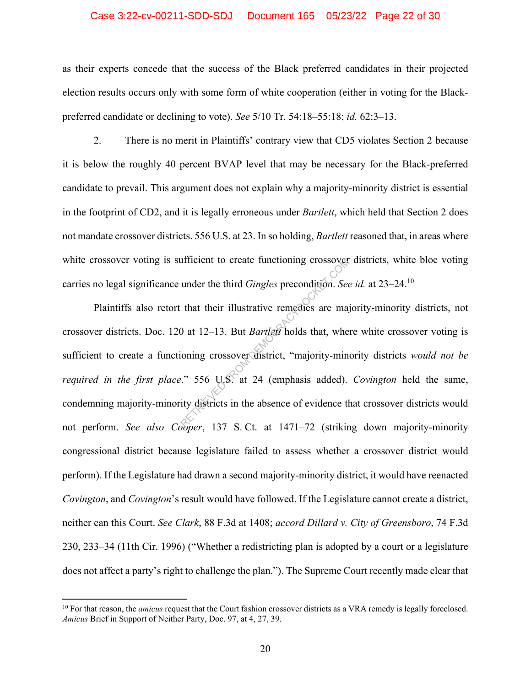#### Case 3:22-cv-00211-SDD-SDJ Document 165 05/23/22 Page 22 of 30

as their experts concede that the success of the Black preferred candidates in their projected election results occurs only with some form of white cooperation (either in voting for the Blackpreferred candidate or declining to vote). *See* 5/10 Tr. 54:18–55:18; *id.* 62:3–13.

2. There is no merit in Plaintiffs' contrary view that CD5 violates Section 2 because it is below the roughly 40 percent BVAP level that may be necessary for the Black-preferred candidate to prevail. This argument does not explain why a majority-minority district is essential in the footprint of CD2, and it is legally erroneous under *Bartlett*, which held that Section 2 does not mandate crossover districts. 556 U.S. at 23. In so holding, *Bartlett* reasoned that, in areas where white crossover voting is sufficient to create functioning crossover districts, white bloc voting carries no legal significance under the third *Gingles* precondition. *See id.* at 23–24.10

Plaintiffs also retort that their illustrative remedies are majority-minority districts, not crossover districts. Doc. 120 at 12–13. But *Bartlett* holds that, where white crossover voting is sufficient to create a functioning crossover district, "majority-minority districts *would not be required in the first place*." 556 U.S. at 24 (emphasis added). *Covington* held the same, condemning majority-minority districts in the absence of evidence that crossover districts would not perform. *See also Cooper*, 137 S. Ct. at 1471–72 (striking down majority-minority congressional district because legislature failed to assess whether a crossover district would perform). If the Legislature had drawn a second majority-minority district, it would have reenacted *Covington*, and *Covington*'s result would have followed. If the Legislature cannot create a district, neither can this Court. *See Clark*, 88 F.3d at 1408; *accord Dillard v. City of Greensboro*, 74 F.3d 230, 233–34 (11th Cir. 1996) ("Whether a redistricting plan is adopted by a court or a legislature does not affect a party's right to challenge the plan."). The Supreme Court recently made clear that under the third *Gingles* precondition. See<br>that their illustrative remedies are may<br>0 at 12–13. But *Bartlett* holds that, where<br>ioning crossover district, "majority-min"<br> $\therefore$  556 U.S. at 24 (emphasis added).<br>ity distric

<sup>&</sup>lt;sup>10</sup> For that reason, the *amicus* request that the Court fashion crossover districts as a VRA remedy is legally foreclosed. *Amicus* Brief in Support of Neither Party, Doc. 97, at 4, 27, 39.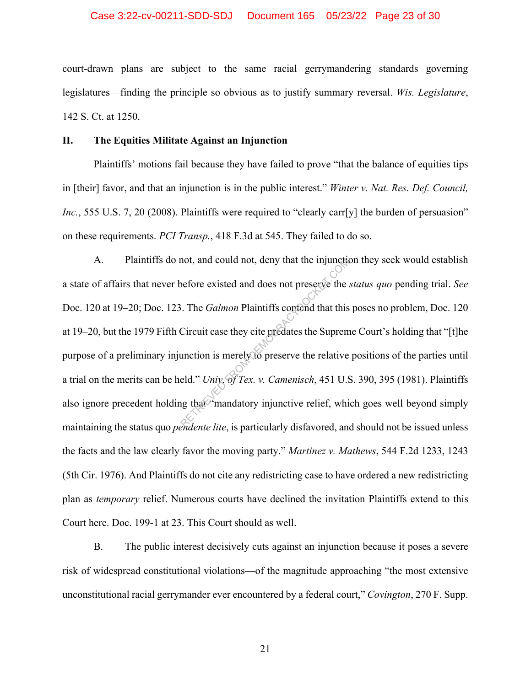#### Case 3:22-cv-00211-SDD-SDJ Document 165 05/23/22 Page 23 of 30

court-drawn plans are subject to the same racial gerrymandering standards governing legislatures—finding the principle so obvious as to justify summary reversal. *Wis. Legislature*, 142 S. Ct. at 1250.

#### **II. The Equities Militate Against an Injunction**

Plaintiffs' motions fail because they have failed to prove "that the balance of equities tips in [their] favor, and that an injunction is in the public interest." *Winter v. Nat. Res. Def. Council, Inc.*, 555 U.S. 7, 20 (2008). Plaintiffs were required to "clearly carr[y] the burden of persuasion" on these requirements. *PCI Transp.*, 418 F.3d at 545. They failed to do so.

A. Plaintiffs do not, and could not, deny that the injunction they seek would establish a state of affairs that never before existed and does not preserve the *status quo* pending trial. *See* Doc. 120 at 19–20; Doc. 123. The *Galmon* Plaintiffs contend that this poses no problem, Doc. 120 at 19–20, but the 1979 Fifth Circuit case they cite predates the Supreme Court's holding that "[t]he purpose of a preliminary injunction is merely to preserve the relative positions of the parties until a trial on the merits can be held." *Univ. of Tex. v. Camenisch*, 451 U.S. 390, 395 (1981). Plaintiffs also ignore precedent holding that "mandatory injunctive relief, which goes well beyond simply maintaining the status quo *pendente lite*, is particularly disfavored, and should not be issued unless the facts and the law clearly favor the moving party." *Martinez v. Mathews*, 544 F.2d 1233, 1243 (5th Cir. 1976). And Plaintiffs do not cite any redistricting case to have ordered a new redistricting plan as *temporary* relief. Numerous courts have declined the invitation Plaintiffs extend to this Court here. Doc. 199-1 at 23. This Court should as well. not, and could not, deny that the injunction<br>before existed and does not preserve the .<br>Circuit case they cite predates the Suprem<br>unction is merely to preserve the relative<br>eld." Univ, of Tex. v. Camenisch, 451 U.S<br>in tha

B. The public interest decisively cuts against an injunction because it poses a severe risk of widespread constitutional violations—of the magnitude approaching "the most extensive unconstitutional racial gerrymander ever encountered by a federal court," *Covington*, 270 F. Supp.

21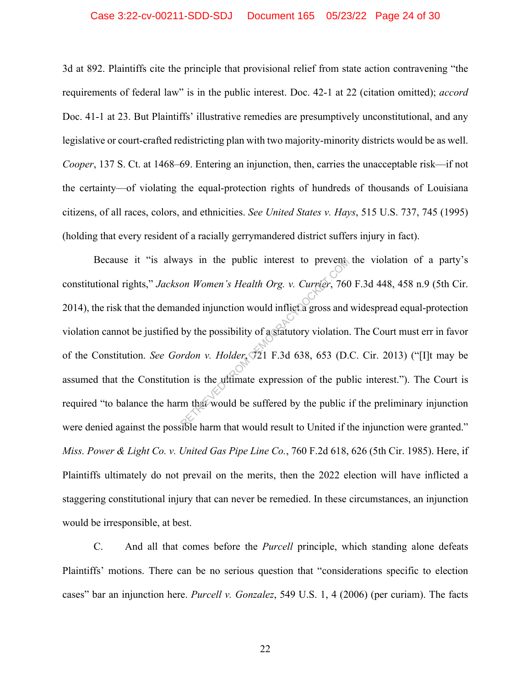#### Case 3:22-cv-00211-SDD-SDJ Document 165 05/23/22 Page 24 of 30

3d at 892. Plaintiffs cite the principle that provisional relief from state action contravening "the requirements of federal law" is in the public interest. Doc. 42-1 at 22 (citation omitted); *accord* Doc. 41-1 at 23. But Plaintiffs' illustrative remedies are presumptively unconstitutional, and any legislative or court-crafted redistricting plan with two majority-minority districts would be as well. *Cooper*, 137 S. Ct. at 1468–69. Entering an injunction, then, carries the unacceptable risk—if not the certainty—of violating the equal-protection rights of hundreds of thousands of Louisiana citizens, of all races, colors, and ethnicities. *See United States v. Hays*, 515 U.S. 737, 745 (1995) (holding that every resident of a racially gerrymandered district suffers injury in fact).

Because it "is always in the public interest to prevent the violation of a party's constitutional rights," *Jackson Women's Health Org. v. Currier*, 760 F.3d 448, 458 n.9 (5th Cir. 2014), the risk that the demanded injunction would inflict a gross and widespread equal-protection violation cannot be justified by the possibility of a statutory violation. The Court must err in favor of the Constitution. *See Gordon v. Holder*, 721 F.3d 638, 653 (D.C. Cir. 2013) ("[I]t may be assumed that the Constitution is the ultimate expression of the public interest."). The Court is required "to balance the harm that would be suffered by the public if the preliminary injunction were denied against the possible harm that would result to United if the injunction were granted." *Miss. Power & Light Co. v. United Gas Pipe Line Co.*, 760 F.2d 618, 626 (5th Cir. 1985). Here, if Plaintiffs ultimately do not prevail on the merits, then the 2022 election will have inflicted a staggering constitutional injury that can never be remedied. In these circumstances, an injunction would be irresponsible, at best. ays in the public interest to prevent<br>on Women's Health Org. v. Currier, 760<br>nded injunction would inflict a gross and<br>by the possibility of a statutory violation.<br>rdon v. Holder, 721 F.3d 638, 653 (D.<br>on is the ultimate e

C. And all that comes before the *Purcell* principle, which standing alone defeats Plaintiffs' motions. There can be no serious question that "considerations specific to election cases" bar an injunction here. *Purcell v. Gonzalez*, 549 U.S. 1, 4 (2006) (per curiam). The facts

22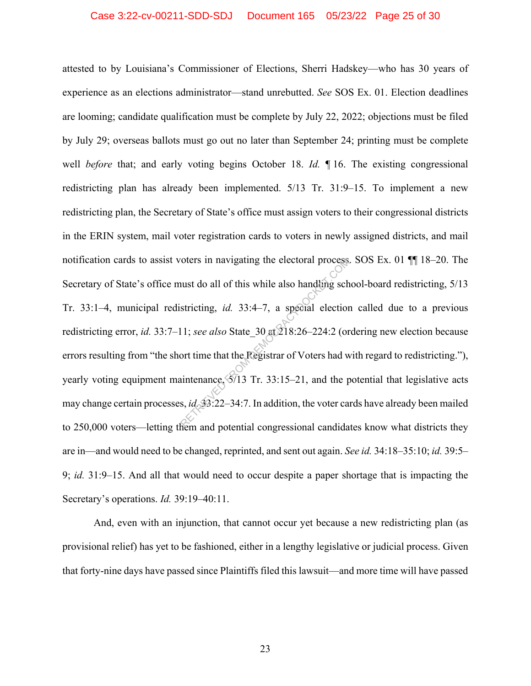#### Case 3:22-cv-00211-SDD-SDJ Document 165 05/23/22 Page 25 of 30

attested to by Louisiana's Commissioner of Elections, Sherri Hadskey—who has 30 years of experience as an elections administrator—stand unrebutted. *See* SOS Ex. 01. Election deadlines are looming; candidate qualification must be complete by July 22, 2022; objections must be filed by July 29; overseas ballots must go out no later than September 24; printing must be complete well *before* that; and early voting begins October 18. *Id.* ¶ 16. The existing congressional redistricting plan has already been implemented. 5/13 Tr. 31:9–15. To implement a new redistricting plan, the Secretary of State's office must assign voters to their congressional districts in the ERIN system, mail voter registration cards to voters in newly assigned districts, and mail notification cards to assist voters in navigating the electoral process. SOS Ex. 01 ¶¶ 18–20. The Secretary of State's office must do all of this while also handling school-board redistricting, 5/13 Tr. 33:1–4, municipal redistricting, *id.* 33:4–7, a special election called due to a previous redistricting error, *id.* 33:7–11; *see also* State\_30 at 218:26–224:2 (ordering new election because errors resulting from "the short time that the Registrar of Voters had with regard to redistricting."), yearly voting equipment maintenance,  $\sqrt{5/13}$  Tr. 33:15–21, and the potential that legislative acts may change certain processes, *id.* 33:22–34:7. In addition, the voter cards have already been mailed to 250,000 voters—letting them and potential congressional candidates know what districts they are in—and would need to be changed, reprinted, and sent out again. *See id.* 34:18–35:10; *id.* 39:5– 9; *id.* 31:9–15. And all that would need to occur despite a paper shortage that is impacting the Secretary's operations. *Id.* 39:19–40:11. From an avigating the electoral process<br>
uust do all of this while also handling sch<br>
stricting, *id.* 33:4–7, a special election<br>
11; *see also* State\_30 at  $218:26-224:2$  (or<br>
ort time that the Registrar of Voters had w

And, even with an injunction, that cannot occur yet because a new redistricting plan (as provisional relief) has yet to be fashioned, either in a lengthy legislative or judicial process. Given that forty-nine days have passed since Plaintiffs filed this lawsuit—and more time will have passed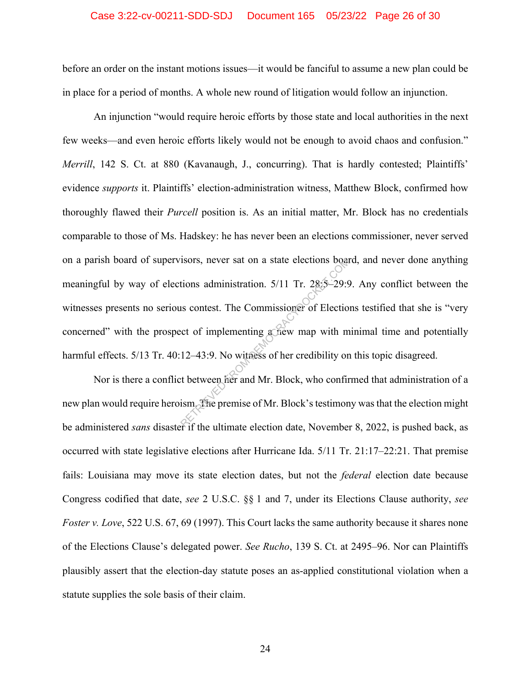#### Case 3:22-cv-00211-SDD-SDJ Document 165 05/23/22 Page 26 of 30

before an order on the instant motions issues—it would be fanciful to assume a new plan could be in place for a period of months. A whole new round of litigation would follow an injunction.

An injunction "would require heroic efforts by those state and local authorities in the next few weeks—and even heroic efforts likely would not be enough to avoid chaos and confusion." *Merrill*, 142 S. Ct. at 880 (Kavanaugh, J., concurring). That is hardly contested; Plaintiffs' evidence *supports* it. Plaintiffs' election-administration witness, Matthew Block, confirmed how thoroughly flawed their *Purcell* position is. As an initial matter, Mr. Block has no credentials comparable to those of Ms. Hadskey: he has never been an elections commissioner, never served on a parish board of supervisors, never sat on a state elections board, and never done anything meaningful by way of elections administration. 5/11 Tr. 28:5–29:9. Any conflict between the witnesses presents no serious contest. The Commissioner of Elections testified that she is "very concerned" with the prospect of implementing a new map with minimal time and potentially harmful effects. 5/13 Tr. 40:12-43:9. No witness of her credibility on this topic disagreed. Solutions administration. 5/11 Tr. 28:5–29:9<br>
Itions administration. 5/11 Tr. 28:5–29:9<br>
Itions contest. The Commissioner of Election<br>
cet of implementing achieve map with m<br>
12–43:9. No withess of her credibility or<br>
the

Nor is there a conflict between her and Mr. Block, who confirmed that administration of a new plan would require heroism. The premise of Mr. Block's testimony was that the election might be administered *sans* disaster if the ultimate election date, November 8, 2022, is pushed back, as occurred with state legislative elections after Hurricane Ida. 5/11 Tr. 21:17–22:21. That premise fails: Louisiana may move its state election dates, but not the *federal* election date because Congress codified that date, *see* 2 U.S.C. §§ 1 and 7, under its Elections Clause authority, *see Foster v. Love*, 522 U.S. 67, 69 (1997). This Court lacks the same authority because it shares none of the Elections Clause's delegated power. *See Rucho*, 139 S. Ct. at 2495–96. Nor can Plaintiffs plausibly assert that the election-day statute poses an as-applied constitutional violation when a statute supplies the sole basis of their claim.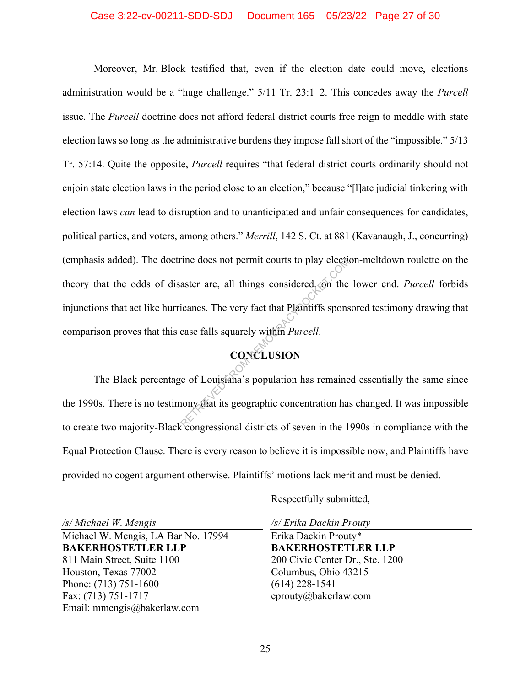#### Case 3:22-cv-00211-SDD-SDJ Document 165 05/23/22 Page 27 of 30

Moreover, Mr. Block testified that, even if the election date could move, elections administration would be a "huge challenge." 5/11 Tr. 23:1–2. This concedes away the *Purcell* issue. The *Purcell* doctrine does not afford federal district courts free reign to meddle with state election laws so long as the administrative burdens they impose fall short of the "impossible." 5/13 Tr. 57:14. Quite the opposite, *Purcell* requires "that federal district courts ordinarily should not enjoin state election laws in the period close to an election," because "[l]ate judicial tinkering with election laws *can* lead to disruption and to unanticipated and unfair consequences for candidates, political parties, and voters, among others." *Merrill*, 142 S. Ct. at 881 (Kavanaugh, J., concurring) (emphasis added). The doctrine does not permit courts to play election-meltdown roulette on the theory that the odds of disaster are, all things considered, on the lower end. *Purcell* forbids injunctions that act like hurricanes. The very fact that Plaintiffs sponsored testimony drawing that comparison proves that this case falls squarely within *Purcell*. rine does not permit courts to play electure<br>aster are, all things considered, on the<br>icanes. The very fact that Plaintiffs spons<br>case falls squarely within *Purcell*.<br>CONCLUSION<br>e of Louisiana's population has remaine<br>non

# **CONCLUSION**

The Black percentage of Louisiana's population has remained essentially the same since the 1990s. There is no testimony that its geographic concentration has changed. It was impossible to create two majority-Black congressional districts of seven in the 1990s in compliance with the Equal Protection Clause. There is every reason to believe it is impossible now, and Plaintiffs have provided no cogent argument otherwise. Plaintiffs' motions lack merit and must be denied.

*/s/ Michael W. Mengis* 

Michael W. Mengis, LA Bar No. 17994 **BAKERHOSTETLER LLP**  811 Main Street, Suite 1100 Houston, Texas 77002 Phone: (713) 751-1600 Fax: (713) 751-1717 Email: mmengis@bakerlaw.com

Respectfully submitted,

*/s/ Erika Dackin Prouty*  Erika Dackin Prouty\* **BAKERHOSTETLER LLP**  200 Civic Center Dr., Ste. 1200 Columbus, Ohio 43215 (614) 228-1541 eprouty@bakerlaw.com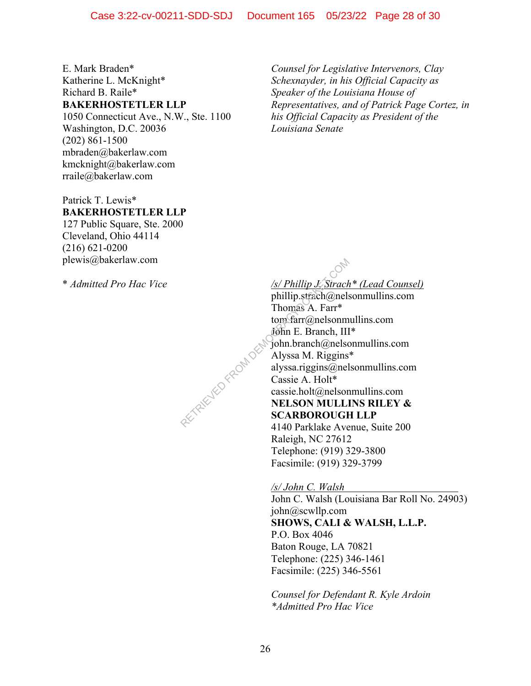E. Mark Braden\* Katherine L. McKnight\* Richard B. Raile\* **BAKERHOSTETLER LLP** 

1050 Connecticut Ave., N.W., Ste. 1100 Washington, D.C. 20036 (202) 861-1500 mbraden@bakerlaw.com kmcknight@bakerlaw.com rraile@bakerlaw.com

Patrick T. Lewis\* **BAKERHOSTETLER LLP** 

127 Public Square, Ste. 2000 Cleveland, Ohio 44114 (216) 621-0200 plewis@bakerlaw.com

\* *Admitted Pro Hac Vice* 

*Counsel for Legislative Intervenors, Clay Schexnayder, in his Official Capacity as Speaker of the Louisiana House of Representatives, and of Patrick Page Cortez, in his Official Capacity as President of the Louisiana Senate* 

*/s/ Phillip J. Strach\* (Lead Counsel)* 

phillip.strach@nelsonmullins.com Thomas A. Farr\* tom.farr@nelsonmullins.com John E. Branch, III\* john.branch@nelsonmullins.com Alyssa M. Riggins\* alyssa.riggins@nelsonmullins.com Cassie A. Holt\* cassie.holt@nelsonmullins.com **NELSON MULLINS RILEY & SCARBOROUGH LLP**  4140 Parklake Avenue, Suite 200 Raleigh, NC 27612

Telephone: (919) 329-3800 Facsimile: (919) 329-3799

*/s/ John C. Walsh*  John C. Walsh (Louisiana Bar Roll No. 24903) john@scwllp.com **SHOWS, CALI & WALSH, L.L.P.**  P.O. Box 4046 Baton Rouge, LA 70821 Telephone: (225) 346-1461 Facsimile: (225) 346-5561

*Counsel for Defendant R. Kyle Ardoin \*Admitted Pro Hac Vice* 

RETRIEVED FROM DES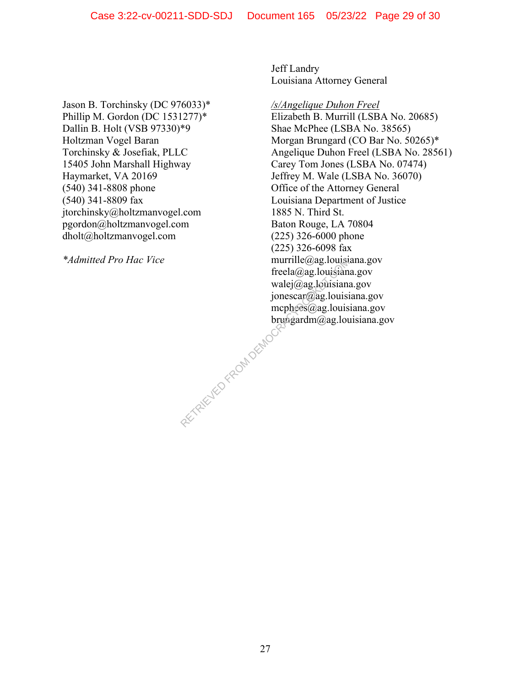Jason B. Torchinsky (DC 976033)\* Phillip M. Gordon (DC 1531277)\* Dallin B. Holt (VSB 97330)\*9 Holtzman Vogel Baran Torchinsky & Josefiak, PLLC 15405 John Marshall Highway Haymarket, VA 20169 (540) 341-8808 phone (540) 341-8809 fax jtorchinsky@holtzmanvogel.com pgordon@holtzmanvogel.com dholt@holtzmanvogel.com

*\*Admitted Pro Hac Vice* 

Jeff Landry Louisiana Attorney General

*/s/Angelique Duhon Freel*  Elizabeth B. Murrill (LSBA No. 20685) Shae McPhee (LSBA No. 38565) Morgan Brungard (CO Bar No. 50265)\* Angelique Duhon Freel (LSBA No. 28561) Carey Tom Jones (LSBA No. 07474) Jeffrey M. Wale (LSBA No. 36070) Office of the Attorney General Louisiana Department of Justice 1885 N. Third St. Baton Rouge, LA 70804 (225) 326-6000 phone (225) 326-6098 fax murrille@ag.louisiana.gov freela@ag.louisiana.gov walej@ag.louisiana.gov jonescar@ag.louisiana.gov mcphees@ag.louisiana.gov brungardm@ag.louisiana.gov RETRIEVED FROM DEMOCRA